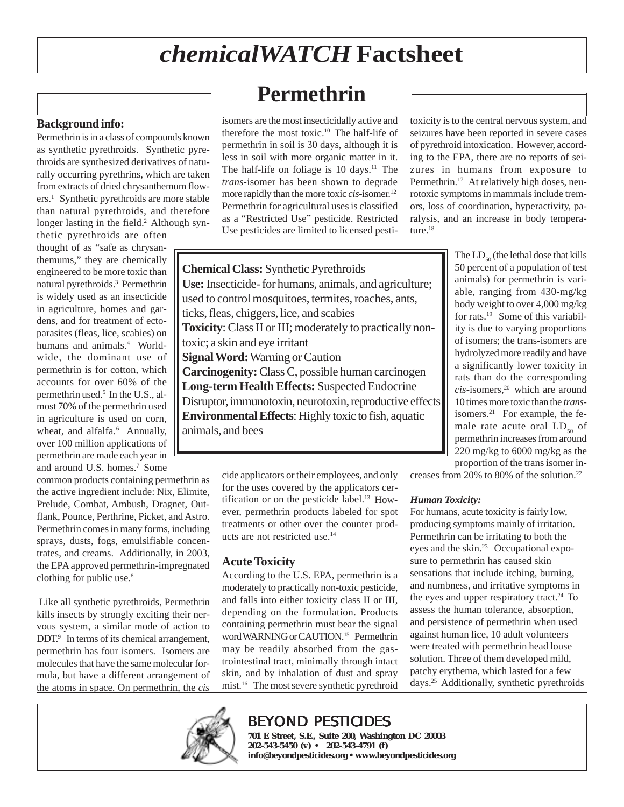# *chemicalWATCH* **Factsheet**

# **Permethrin**

**Background info:**

Permethrin is in a class of compounds known as synthetic pyrethroids. Synthetic pyrethroids are synthesized derivatives of naturally occurring pyrethrins, which are taken from extracts of dried chrysanthemum flowers.1 Synthetic pyrethroids are more stable than natural pyrethroids, and therefore longer lasting in the field.<sup>2</sup> Although syn-

thetic pyrethroids are often thought of as "safe as chrysanthemums," they are chemically engineered to be more toxic than natural pyrethroids.3 Permethrin is widely used as an insecticide in agriculture, homes and gardens, and for treatment of ectoparasites (fleas, lice, scabies) on humans and animals.<sup>4</sup> Worldwide, the dominant use of permethrin is for cotton, which accounts for over 60% of the permethrin used.5 In the U.S., almost 70% of the permethrin used in agriculture is used on corn, wheat, and alfalfa.<sup>6</sup> Annually, over 100 million applications of permethrin are made each year in and around U.S. homes.7 Some

common products containing permethrin as the active ingredient include: Nix, Elimite, Prelude, Combat, Ambush, Dragnet, Outflank, Pounce, Perthrine, Picket, and Astro. Permethrin comes in many forms, including sprays, dusts, fogs, emulsifiable concentrates, and creams. Additionally, in 2003, the EPA approved permethrin-impregnated clothing for public use.<sup>8</sup>

 Like all synthetic pyrethroids, Permethrin kills insects by strongly exciting their nervous system, a similar mode of action to DDT.<sup>9</sup> In terms of its chemical arrangement, permethrin has four isomers. Isomers are molecules that have the same molecular formula, but have a different arrangement of the atoms in space. On permethrin, the *cis* isomers are the most insecticidally active and therefore the most toxic.10 The half-life of permethrin in soil is 30 days, although it is less in soil with more organic matter in it. The half-life on foliage is  $10 \text{ days}$ .<sup>11</sup> The *trans*-isomer has been shown to degrade more rapidly than the more toxic *cis*-isomer.12 Permethrin for agricultural uses is classified as a "Restricted Use" pesticide. Restricted Use pesticides are limited to licensed pesti-

toxicity is to the central nervous system, and seizures have been reported in severe cases of pyrethroid intoxication. However, according to the EPA, there are no reports of seizures in humans from exposure to Permethrin.<sup>17</sup> At relatively high doses, neurotoxic symptoms in mammals include tremors, loss of coordination, hyperactivity, paralysis, and an increase in body temperature.<sup>18</sup>

**Chemical Class:** Synthetic Pyrethroids **Use:** Insecticide- for humans, animals, and agriculture; used to control mosquitoes, termites, roaches, ants, ticks, fleas, chiggers, lice, and scabies **Toxicity**: Class II or III; moderately to practically nontoxic; a skin and eye irritant **Signal Word:** Warning or Caution **Carcinogenity:** Class C, possible human carcinogen **Long-term Health Effects:** Suspected Endocrine Disruptor, immunotoxin, neurotoxin, reproductive effects **Environmental Effects**: Highly toxic to fish, aquatic animals, and bees

> cide applicators or their employees, and only for the uses covered by the applicators certification or on the pesticide label.13 However, permethrin products labeled for spot treatments or other over the counter products are not restricted use.14

#### **Acute Toxicity**

According to the U.S. EPA, permethrin is a moderately to practically non-toxic pesticide, and falls into either toxicity class II or III, depending on the formulation. Products containing permethrin must bear the signal word WARNING or CAUTION.<sup>15</sup> Permethrin may be readily absorbed from the gastrointestinal tract, minimally through intact skin, and by inhalation of dust and spray mist.16The most severe synthetic pyrethroid

The  $LD_{50}$  (the lethal dose that kills 50 percent of a population of test animals) for permethrin is variable, ranging from 430-mg/kg body weight to over 4,000 mg/kg for rats.19 Some of this variability is due to varying proportions of isomers; the trans-isomers are hydrolyzed more readily and have a significantly lower toxicity in rats than do the corresponding *cis*-isomers,20 which are around 10 times more toxic than the *trans*isomers.21 For example, the female rate acute oral  $LD_{50}$  of permethrin increases from around 220 mg/kg to 6000 mg/kg as the proportion of the trans isomer in-

creases from 20% to 80% of the solution.22

#### *Human Toxicity:*

For humans, acute toxicity is fairly low, producing symptoms mainly of irritation. Permethrin can be irritating to both the eyes and the skin.23 Occupational exposure to permethrin has caused skin sensations that include itching, burning, and numbness, and irritative symptoms in the eyes and upper respiratory tract.<sup>24</sup> To assess the human tolerance, absorption, and persistence of permethrin when used against human lice, 10 adult volunteers were treated with permethrin head louse solution. Three of them developed mild, patchy erythema, which lasted for a few days.25 Additionally, synthetic pyrethroids



# BEYOND PESTICIDES

**701 E Street, S.E., Suite 200, Washington DC 20003 202-543-5450 (v) • 202-543-4791 (f) info@beyondpesticides.org • www.beyondpesticides.org**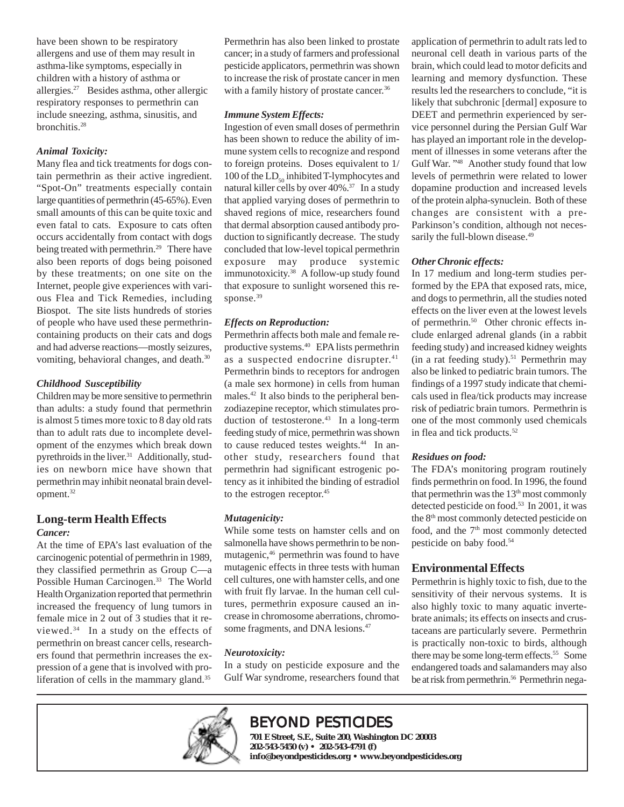have been shown to be respiratory allergens and use of them may result in asthma-like symptoms, especially in children with a history of asthma or allergies.27 Besides asthma, other allergic respiratory responses to permethrin can include sneezing, asthma, sinusitis, and bronchitis.28

#### *Animal Toxicity:*

Many flea and tick treatments for dogs contain permethrin as their active ingredient. "Spot-On" treatments especially contain large quantities of permethrin (45-65%). Even small amounts of this can be quite toxic and even fatal to cats. Exposure to cats often occurs accidentally from contact with dogs being treated with permethrin.<sup>29</sup> There have also been reports of dogs being poisoned by these treatments; on one site on the Internet, people give experiences with various Flea and Tick Remedies, including Biospot. The site lists hundreds of stories of people who have used these permethrincontaining products on their cats and dogs and had adverse reactions—mostly seizures, vomiting, behavioral changes, and death.<sup>30</sup>

#### *Childhood Susceptibility*

Children may be more sensitive to permethrin than adults: a study found that permethrin is almost 5 times more toxic to 8 day old rats than to adult rats due to incomplete development of the enzymes which break down pyrethroids in the liver.31 Additionally, studies on newborn mice have shown that permethrin may inhibit neonatal brain development.32

### **Long-term Health Effects**

#### *Cancer:*

At the time of EPA's last evaluation of the carcinogenic potential of permethrin in 1989, they classified permethrin as Group C—a Possible Human Carcinogen.<sup>33</sup> The World Health Organization reported that permethrin increased the frequency of lung tumors in female mice in 2 out of 3 studies that it reviewed. $34$  In a study on the effects of permethrin on breast cancer cells, researchers found that permethrin increases the expression of a gene that is involved with proliferation of cells in the mammary gland.<sup>35</sup>

Permethrin has also been linked to prostate cancer; in a study of farmers and professional pesticide applicators, permethrin was shown to increase the risk of prostate cancer in men with a family history of prostate cancer.<sup>36</sup>

#### *Immune System Effects:*

Ingestion of even small doses of permethrin has been shown to reduce the ability of immune system cells to recognize and respond to foreign proteins. Doses equivalent to 1/ 100 of the  $LD_{50}$  inhibited T-lymphocytes and natural killer cells by over 40%.37 In a study that applied varying doses of permethrin to shaved regions of mice, researchers found that dermal absorption caused antibody production to significantly decrease. The study concluded that low-level topical permethrin exposure may produce systemic immunotoxicity.38 A follow-up study found that exposure to sunlight worsened this response.<sup>39</sup>

#### *Effects on Reproduction:*

Permethrin affects both male and female reproductive systems.40 EPA lists permethrin as a suspected endocrine disrupter.<sup>41</sup> Permethrin binds to receptors for androgen (a male sex hormone) in cells from human males.42 It also binds to the peripheral benzodiazepine receptor, which stimulates production of testosterone.<sup>43</sup> In a long-term feeding study of mice, permethrin was shown to cause reduced testes weights.<sup>44</sup> In another study, researchers found that permethrin had significant estrogenic potency as it inhibited the binding of estradiol to the estrogen receptor.<sup>45</sup>

#### *Mutagenicity:*

While some tests on hamster cells and on salmonella have shows permethrin to be nonmutagenic,<sup>46</sup> permethrin was found to have mutagenic effects in three tests with human cell cultures, one with hamster cells, and one with fruit fly larvae. In the human cell cultures, permethrin exposure caused an increase in chromosome aberrations, chromosome fragments, and DNA lesions.<sup>47</sup>

#### *Neurotoxicity:*

In a study on pesticide exposure and the Gulf War syndrome, researchers found that application of permethrin to adult rats led to neuronal cell death in various parts of the brain, which could lead to motor deficits and learning and memory dysfunction. These results led the researchers to conclude, "it is likely that subchronic [dermal] exposure to DEET and permethrin experienced by service personnel during the Persian Gulf War has played an important role in the development of illnesses in some veterans after the Gulf War. "48 Another study found that low levels of permethrin were related to lower dopamine production and increased levels of the protein alpha-synuclein. Both of these changes are consistent with a pre-Parkinson's condition, although not necessarily the full-blown disease.<sup>49</sup>

#### *Other Chronic effects:*

In 17 medium and long-term studies performed by the EPA that exposed rats, mice, and dogs to permethrin, all the studies noted effects on the liver even at the lowest levels of permethrin.50 Other chronic effects include enlarged adrenal glands (in a rabbit feeding study) and increased kidney weights (in a rat feeding study).<sup>51</sup> Permethrin may also be linked to pediatric brain tumors. The findings of a 1997 study indicate that chemicals used in flea/tick products may increase risk of pediatric brain tumors. Permethrin is one of the most commonly used chemicals in flea and tick products.<sup>52</sup>

#### *Residues on food:*

The FDA's monitoring program routinely finds permethrin on food. In 1996, the found that permethrin was the  $13<sup>th</sup>$  most commonly detected pesticide on food.<sup>53</sup> In 2001, it was the 8<sup>th</sup> most commonly detected pesticide on food, and the 7<sup>th</sup> most commonly detected pesticide on baby food.54

#### **Environmental Effects**

Permethrin is highly toxic to fish, due to the sensitivity of their nervous systems. It is also highly toxic to many aquatic invertebrate animals; its effects on insects and crustaceans are particularly severe. Permethrin is practically non-toxic to birds, although there may be some long-term effects.<sup>55</sup> Some endangered toads and salamanders may also be at risk from permethrin.<sup>56</sup> Permethrin nega-



# BEYOND PESTICIDES

**701 E Street, S.E., Suite 200, Washington DC 20003 202-543-5450 (v) • 202-543-4791 (f) info@beyondpesticides.org • www.beyondpesticides.org**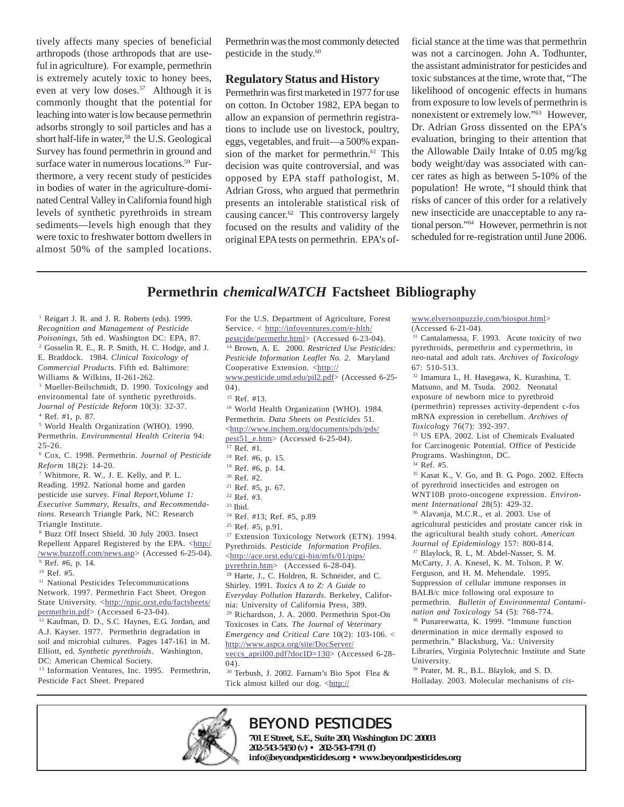tively affects many species of beneficial arthropods (those arthropods that are useful in agriculture). For example, permethrin is extremely acutely toxic to honey bees, even at very low doses.<sup>57</sup> Although it is commonly thought that the potential for leaching into water is low because permethrin adsorbs strongly to soil particles and has a short half-life in water,<sup>58</sup> the U.S. Geological Survey has found permethrin in ground and surface water in numerous locations.<sup>59</sup> Furthermore, a very recent study of pesticides in bodies of water in the agriculture-dominated Central Valley in California found high levels of synthetic pyrethroids in stream sediments—levels high enough that they were toxic to freshwater bottom dwellers in almost 50% of the sampled locations.

Permethrin was the most commonly detected pesticide in the study. $60$ 

#### **Regulatory Status and History**

Permethrin was first marketed in 1977 for use on cotton. In October 1982, EPA began to allow an expansion of permethrin registrations to include use on livestock, poultry, eggs, vegetables, and fruit—a 500% expansion of the market for permethrin.<sup>61</sup> This decision was quite controversial, and was opposed by EPA staff pathologist, M. Adrian Gross, who argued that permethrin presents an intolerable statistical risk of causing cancer.62 This controversy largely focused on the results and validity of the original EPA tests on permethrin. EPA's official stance at the time was that permethrin was not a carcinogen. John A. Todhunter, the assistant administrator for pesticides and toxic substances at the time, wrote that, "The likelihood of oncogenic effects in humans from exposure to low levels of permethrin is nonexistent or extremely low."63 However, Dr. Adrian Gross dissented on the EPA's evaluation, bringing to their attention that the Allowable Daily Intake of 0.05 mg/kg body weight/day was associated with cancer rates as high as between 5-10% of the population! He wrote, "I should think that risks of cancer of this order for a relatively new insecticide are unacceptable to any rational person."64 However, permethrin is not scheduled for re-registration until June 2006.

### **Permethrin** *chemicalWATCH* **Factsheet Bibliography**

<sup>1</sup> Reigart J. R. and J. R. Roberts (eds). 1999. *Recognition and Management of Pesticide Poisonings,* 5th ed. Washington DC: EPA, 87. 2 Gosselin R. E., R. P. Smith, H. C. Hodge, and J. E. Braddock. 1984. *Clinical Toxicology of Commercial Products*. Fifth ed. Baltimore: Williams & Wilkins, II-261-262. 3 Mueller-Beilschmidt, D. 1990. Toxicology and environmental fate of synthetic pyrethroids. *Journal of Pesticide Reform* 10(3): 32-37. 4 Ref. #1, p. 87. 5 World Health Organization (WHO). 1990. Permethrin. *Environmental Health Criteria* 94: 25-26. 6 Cox, C. 1998. Permethrin. *Journal of Pesticide Reform* 18(2): 14-20. 7 Whitmore, R. W., J. E. Kelly, and P. L. Reading. 1992. National home and garden pesticide use survey. *Final Report,Volume 1: Executive Summary, Results, and Recommendations.* Research Triangle Park, NC: Research Triangle Institute. 8 Buzz Off Insect Shield. 30 July 2003. Insect Repellent Apparel Registered by the EPA. <http:/ /www.buzzoff.com/news.asp> (Accessed 6-25-04). 9 Ref. #6, p. 14. 10 Ref. #5. <sup>11</sup> National Pesticides Telecommunications Network. 1997. Permethrin Fact Sheet. Oregon State University. <http://npic.orst.edu/factsheets/ permethrin.pdf> (Accessed 6-23-04). 12 Kaufman, D. D., S.C. Haynes, E.G. Jordan, and A.J. Kayser. 1977. Permethrin degradation in soil and microbial cultures. Pages 147-161 in M.

Elliott, ed. *Synthetic pyrethroids*. Washington, DC: American Chemical Society. <sup>13</sup> Information Ventures, Inc. 1995. Permethrin,

Pesticide Fact Sheet. Prepared

For the U.S. Department of Agriculture, Forest Service. < http://infoventures.com/e-hlth/ pestcide/permethr.html> (Accessed 6-23-04). 14 Brown, A. E. 2000. *Restricted Use Pesticides: Pesticide Information Leaflet No. 2.* Maryland Cooperative Extension. <http:// www.pesticide.umd.edu/pil2.pdf> (Accessed 6-25- 04). 15 Ref. #13. 16 World Health Organization (WHO). 1984. Permethrin. *Data Sheets on Pesticides* 51. <http://www.inchem.org/documents/pds/pds/ pest51\_e.htm> (Accessed 6-25-04). 17 Ref. #1. 18 Ref. #6, p. 15. 19 Ref. #6, p. 14. 20 Ref. #2. 21 Ref. #5, p. 67. 22 Ref. #3.  $23$  Ibid. 24 Ref. #13; Ref. #5, p.89 25 Ref. #5, p.91. 27 Extension Toxicology Network (ETN). 1994. Pyrethroids. *Pesticide Information Profiles*. <http://ace.orst.edu/cgi-bin/mfs/01/pips/ pyrethrin.htm> (Accessed 6-28-04). 28 Harte, J., C. Holdren, R. Schneider, and C. Shirley. 1991. *Toxics A to Z: A Guide to Everyday Pollution Hazards*. Berkeley, California: University of California Press, 389. 29 Richardson, J. A. 2000. Permethrin Spot-On Toxicoses in Cats. *The Journal of Veterinary* http://www.aspca.org/site/DocServer/ veccs\_april00.pdf?docID=130> (Accessed 6-28-

30 Terbush, J. 2002. Farnam's Bio Spot Flea & Tick almost killed our dog. <http://

#### www.elversonpuzzle.com/biospot.html>

(Accessed 6-21-04).

31 Cantalamessa, F. 1993. Acute toxicity of two pyrethroids, permethrin and cypermethrin, in neo-natal and adult rats. *Archives of Toxicology* 67: 510-513.

32 Imamura L, H. Hasegawa, K. Kurashina, T. Matsuno, and M. Tsuda. 2002. Neonatal exposure of newborn mice to pyrethroid (permethrin) represses activity-dependent c-fos mRNA expression in cerebellum. *Archives of Toxicol*ogy 76(7): 392-397.

for Carcinogenic Potential. Office of Pesticide Programs. Washington, DC.

34 Ref. #5.

35 Kasat K., V. Go, and B. G. Pogo. 2002. Effects of pyrethroid insecticides and estrogen on WNT10B proto-oncogene expression. *Environment International* 28(5): 429-32.

36 Alavanja, M.C.R., et al. 2003. Use of agricultural pesticides and prostate cancer risk in the agricultural health study cohort. *American Journal of Epidemiology* 157: 800-814. 37 Blaylock, R. L, M. Abdel-Nasser, S. M. McCarty, J. A. Knesel, K. M. Tolson, P. W. Ferguson, and H. M. Mehendale. 1995. Suppression of cellular immune responses in BALB/c mice following oral exposure to permethrin. *Bulletin of Environmental Contamination and Toxicology* 54 (5): 768-774. 38 Punareewatta, K. 1999. "Immune function determination in mice dermally exposed to permethrin." Blacksburg, Va.: University

Libraries, Virginia Polytechnic Institute and State University.

39 Prater, M. R., B.L. Blaylok, and S. D. Holladay. 2003. Molecular mechanisms of *cis*-



## BEYOND PESTICIDES

**701 E Street, S.E., Suite 200, Washington DC 20003 202-543-5450 (v) • 202-543-4791 (f) info@beyondpesticides.org • www.beyondpesticides.org**

33 US EPA. 2002. List of Chemicals Evaluated

*Emergency and Critical Care* 10(2): 103-106. <

04).